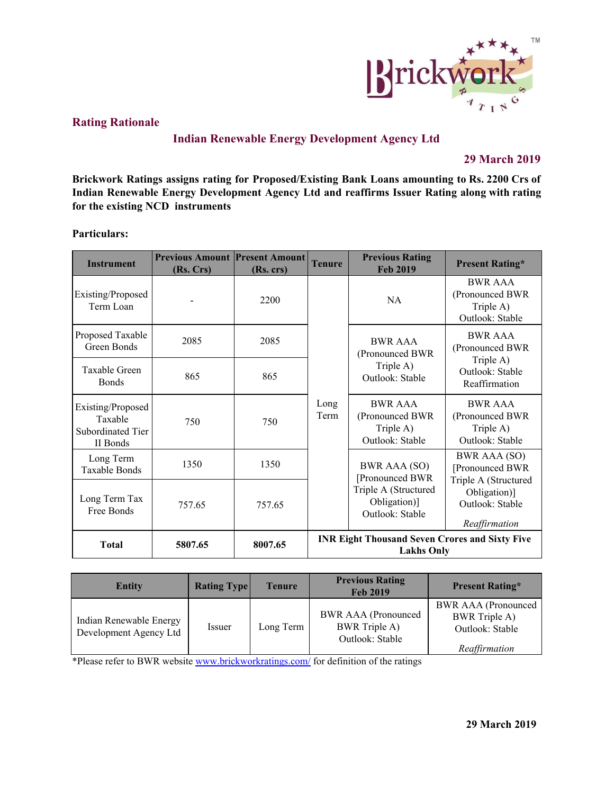

# **Rating Rationale**

# **Indian Renewable Energy Development Agency Ltd**

# **29 March 2019**

**Brickwork Ratings assigns rating for Proposed/Existing Bank Loans amounting to Rs. 2200 Crs of Indian Renewable Energy Development Agency Ltd and reaffirms Issuer Rating along with rating for the existing NCD instruments**

### **Particulars:**

| <b>Instrument</b>                                             | <b>Previous Amount Present Amount</b><br>(Rs. Crs) | (Rs. crs) | <b>Tenure</b>                                                              | <b>Previous Rating</b><br><b>Feb 2019</b>                         | <b>Present Rating*</b>                                            |  |
|---------------------------------------------------------------|----------------------------------------------------|-----------|----------------------------------------------------------------------------|-------------------------------------------------------------------|-------------------------------------------------------------------|--|
| Existing/Proposed<br>Term Loan                                |                                                    | 2200      |                                                                            | <b>NA</b>                                                         | <b>BWR AAA</b><br>(Pronounced BWR<br>Triple A)<br>Outlook: Stable |  |
| Proposed Taxable<br>Green Bonds                               | 2085                                               | 2085      |                                                                            | <b>BWR AAA</b><br>(Pronounced BWR                                 | <b>BWR AAA</b><br>(Pronounced BWR                                 |  |
| Taxable Green<br><b>Bonds</b>                                 | 865                                                | 865       |                                                                            | Triple A)<br>Outlook: Stable                                      | Triple A)<br>Outlook: Stable<br>Reaffirmation                     |  |
| Existing/Proposed<br>Taxable<br>Subordinated Tier<br>II Bonds | 750                                                | 750       | Long<br>Term                                                               | <b>BWR AAA</b><br>(Pronounced BWR<br>Triple A)<br>Outlook: Stable | <b>BWR AAA</b><br>(Pronounced BWR<br>Triple A)<br>Outlook: Stable |  |
| Long Term<br>Taxable Bonds                                    | 1350                                               | 1350      |                                                                            | <b>BWR AAA (SO)</b><br>[Pronounced BWR                            | <b>BWR AAA (SO)</b><br>[Pronounced BWR<br>Triple A (Structured    |  |
| Long Term Tax<br>Free Bonds                                   | 757.65<br>757.65                                   |           |                                                                            | Triple A (Structured<br>Obligation)]<br>Outlook: Stable           | Obligation)]<br>Outlook: Stable<br>Reaffirmation                  |  |
| <b>Total</b>                                                  | 5807.65                                            | 8007.65   | <b>INR Eight Thousand Seven Crores and Sixty Five</b><br><b>Lakhs Only</b> |                                                                   |                                                                   |  |

| <b>Entity</b>                                     | <b>Rating Type</b> | Tenure    | <b>Previous Rating</b><br><b>Feb 2019</b>                             | <b>Present Rating*</b>                                                                 |
|---------------------------------------------------|--------------------|-----------|-----------------------------------------------------------------------|----------------------------------------------------------------------------------------|
| Indian Renewable Energy<br>Development Agency Ltd | <i>ssuer</i>       | Long Term | <b>BWR AAA</b> (Pronounced<br><b>BWR</b> Triple A)<br>Outlook: Stable | <b>BWR AAA</b> (Pronounced<br><b>BWR</b> Triple A)<br>Outlook: Stable<br>Reaffirmation |

\*Please refer to BWR website [www.brickworkratings.com/](http://www.brickworkratings.com/) for definition of the ratings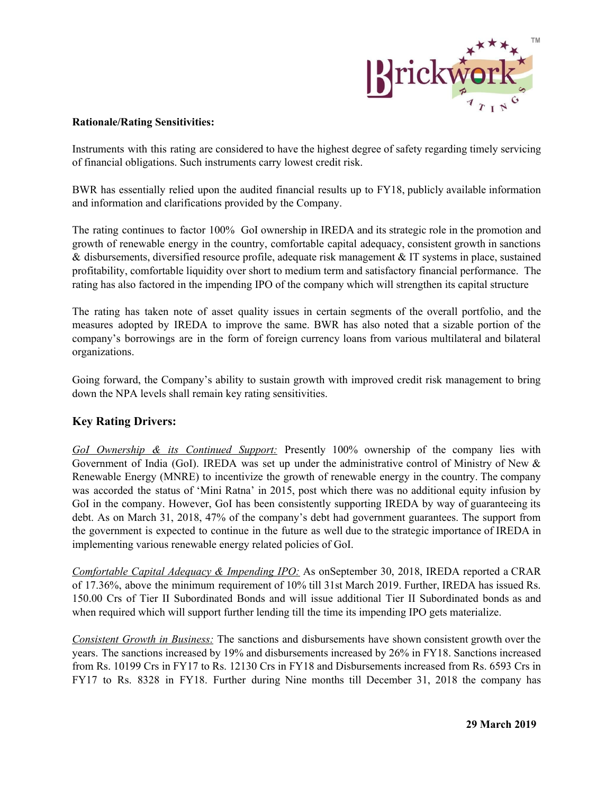

### **Rationale/Rating Sensitivities:**

Instruments with this rating are considered to have the highest degree of safety regarding timely servicing of financial obligations. Such instruments carry lowest credit risk.

BWR has essentially relied upon the audited financial results up to FY18, publicly available information and information and clarifications provided by the Company.

The rating continues to factor 100% GoI ownership in IREDA and its strategic role in the promotion and growth of renewable energy in the country, comfortable capital adequacy, consistent growth in sanctions & disbursements, diversified resource profile, adequate risk management & IT systems in place, sustained profitability, comfortable liquidity over short to medium term and satisfactory financial performance. The rating has also factored in the impending IPO of the company which will strengthen its capital structure

The rating has taken note of asset quality issues in certain segments of the overall portfolio, and the measures adopted by IREDA to improve the same. BWR has also noted that a sizable portion of the company's borrowings are in the form of foreign currency loans from various multilateral and bilateral organizations.

Going forward, the Company's ability to sustain growth with improved credit risk management to bring down the NPA levels shall remain key rating sensitivities.

# **Key Rating Drivers:**

*GoI Ownership & its Continued Support:* Presently 100% ownership of the company lies with Government of India (GoI). IREDA was set up under the administrative control of Ministry of New & Renewable Energy (MNRE) to incentivize the growth of renewable energy in the country. The company was accorded the status of 'Mini Ratna' in 2015, post which there was no additional equity infusion by GoI in the company. However, GoI has been consistently supporting IREDA by way of guaranteeing its debt. As on March 31, 2018, 47% of the company's debt had government guarantees. The support from the government is expected to continue in the future as well due to the strategic importance of IREDA in implementing various renewable energy related policies of GoI.

*Comfortable Capital Adequacy & Impending IPO:* As onSeptember 30, 2018, IREDA reported a CRAR of 17.36%, above the minimum requirement of 10% till 31st March 2019. Further, IREDA has issued Rs. 150.00 Crs of Tier II Subordinated Bonds and will issue additional Tier II Subordinated bonds as and when required which will support further lending till the time its impending IPO gets materialize.

*Consistent Growth in Business:* The sanctions and disbursements have shown consistent growth over the years. The sanctions increased by 19% and disbursements increased by 26% in FY18. Sanctions increased from Rs. 10199 Crs in FY17 to Rs. 12130 Crs in FY18 and Disbursements increased from Rs. 6593 Crs in FY17 to Rs. 8328 in FY18. Further during Nine months till December 31, 2018 the company has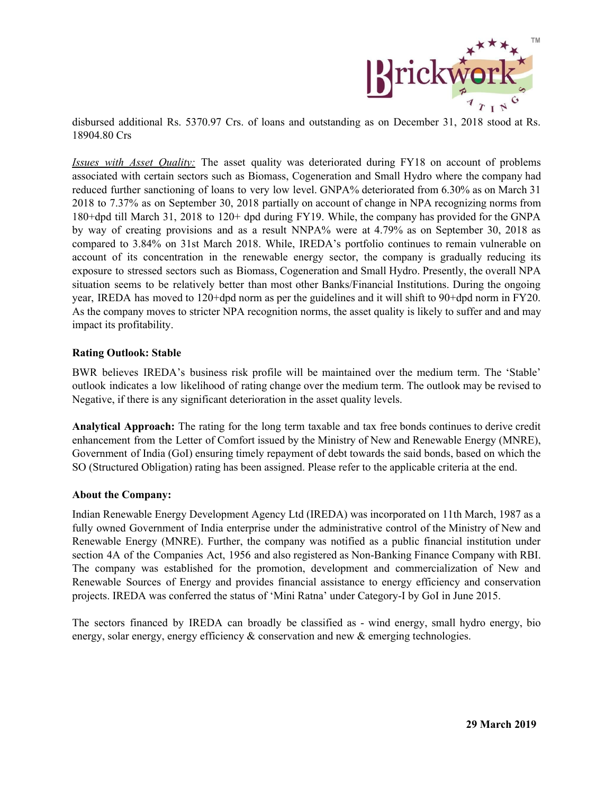

disbursed additional Rs. 5370.97 Crs. of loans and outstanding as on December 31, 2018 stood at Rs. 18904.80 Crs

*Issues with Asset Quality:* The asset quality was deteriorated during FY18 on account of problems associated with certain sectors such as Biomass, Cogeneration and Small Hydro where the company had reduced further sanctioning of loans to very low level. GNPA% deteriorated from 6.30% as on March 31 2018 to 7.37% as on September 30, 2018 partially on account of change in NPA recognizing norms from 180+dpd till March 31, 2018 to 120+ dpd during FY19. While, the company has provided for the GNPA by way of creating provisions and as a result NNPA% were at 4.79% as on September 30, 2018 as compared to 3.84% on 31st March 2018. While, IREDA's portfolio continues to remain vulnerable on account of its concentration in the renewable energy sector, the company is gradually reducing its exposure to stressed sectors such as Biomass, Cogeneration and Small Hydro. Presently, the overall NPA situation seems to be relatively better than most other Banks/Financial Institutions. During the ongoing year, IREDA has moved to 120+dpd norm as per the guidelines and it will shift to 90+dpd norm in FY20. As the company moves to stricter NPA recognition norms, the asset quality is likely to suffer and and may impact its profitability.

### **Rating Outlook: Stable**

BWR believes IREDA's business risk profile will be maintained over the medium term. The 'Stable' outlook indicates a low likelihood of rating change over the medium term. The outlook may be revised to Negative, if there is any significant deterioration in the asset quality levels.

**Analytical Approach:** The rating for the long term taxable and tax free bonds continues to derive credit enhancement from the Letter of Comfort issued by the Ministry of New and Renewable Energy (MNRE), Government of India (GoI) ensuring timely repayment of debt towards the said bonds, based on which the SO (Structured Obligation) rating has been assigned. Please refer to the applicable criteria at the end.

#### **About the Company:**

Indian Renewable Energy Development Agency Ltd (IREDA) was incorporated on 11th March, 1987 as a fully owned Government of India enterprise under the administrative control of the Ministry of New and Renewable Energy (MNRE). Further, the company was notified as a public financial institution under section 4A of the Companies Act, 1956 and also registered as Non-Banking Finance Company with RBI. The company was established for the promotion, development and commercialization of New and Renewable Sources of Energy and provides financial assistance to energy efficiency and conservation projects. IREDA was conferred the status of 'Mini Ratna' under Category-I by GoI in June 2015.

The sectors financed by IREDA can broadly be classified as - wind energy, small hydro energy, bio energy, solar energy, energy efficiency & conservation and new & emerging technologies.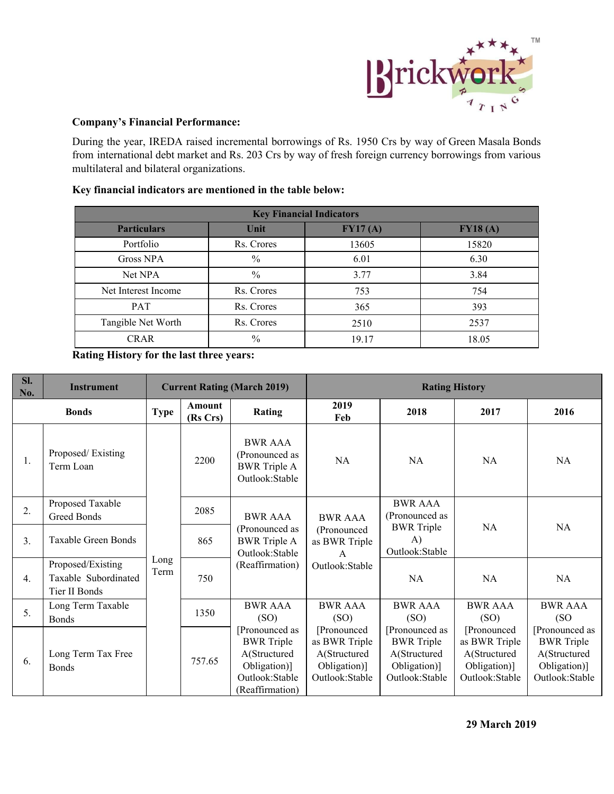

## **Company's Financial Performance:**

During the year, IREDA raised incremental borrowings of Rs. 1950 Crs by way of Green Masala Bonds from international debt market and Rs. 203 Crs by way of fresh foreign currency borrowings from various multilateral and bilateral organizations.

# **Key financial indicators are mentioned in the table below:**

| <b>Key Financial Indicators</b> |            |         |         |  |  |  |
|---------------------------------|------------|---------|---------|--|--|--|
| <b>Particulars</b>              | Unit       | FY17(A) | FY18(A) |  |  |  |
| Portfolio                       | Rs. Crores | 13605   | 15820   |  |  |  |
| Gross NPA                       | $\%$       | 6.01    | 6.30    |  |  |  |
| Net NPA                         | $\%$       | 3.77    | 3.84    |  |  |  |
| Net Interest Income             | Rs. Crores | 753     | 754     |  |  |  |
| <b>PAT</b>                      | Rs. Crores | 365     | 393     |  |  |  |
| Tangible Net Worth              | Rs. Crores | 2510    | 2537    |  |  |  |
| $\frac{0}{0}$<br><b>CRAR</b>    |            | 19.17   | 18.05   |  |  |  |

**Rating History for the last three years:**

| Sl.<br>No. | <b>Instrument</b>                                          |              | <b>Current Rating (March 2019)</b> |                                                                                                          | <b>Rating History</b>                                                            |                                                                                       |                                                                                |                                                                                       |
|------------|------------------------------------------------------------|--------------|------------------------------------|----------------------------------------------------------------------------------------------------------|----------------------------------------------------------------------------------|---------------------------------------------------------------------------------------|--------------------------------------------------------------------------------|---------------------------------------------------------------------------------------|
|            | <b>Bonds</b>                                               | <b>Type</b>  | <b>Amount</b><br>(Rs Crs)          | Rating                                                                                                   | 2019<br>Feb                                                                      | 2018                                                                                  | 2017                                                                           | 2016                                                                                  |
| 1.         | Proposed/Existing<br>Term Loan                             |              | 2200                               | <b>BWR AAA</b><br>(Pronounced as<br><b>BWR</b> Triple A<br>Outlook:Stable                                | <b>NA</b>                                                                        | NA                                                                                    | <b>NA</b>                                                                      | NA                                                                                    |
| 2.         | Proposed Taxable<br>Greed Bonds                            |              | 2085                               | <b>BWR AAA</b><br>(Pronounced as<br><b>BWR</b> Triple A<br>Outlook:Stable<br>(Reaffirmation)             | <b>BWR AAA</b><br>(Pronounced<br>as BWR Triple<br>$\mathsf{A}$<br>Outlook:Stable | <b>BWR AAA</b><br>(Pronounced as<br><b>BWR</b> Triple<br>A)<br>Outlook:Stable         | <b>NA</b>                                                                      | <b>NA</b>                                                                             |
| 3.         | <b>Taxable Green Bonds</b>                                 |              | 865<br>750                         |                                                                                                          |                                                                                  |                                                                                       |                                                                                |                                                                                       |
| 4.         | Proposed/Existing<br>Taxable Subordinated<br>Tier II Bonds | Long<br>Term |                                    |                                                                                                          |                                                                                  | <b>NA</b>                                                                             | <b>NA</b>                                                                      | <b>NA</b>                                                                             |
| 5.         | Long Term Taxable<br><b>Bonds</b>                          |              | 1350                               | <b>BWR AAA</b><br>(SO)                                                                                   | <b>BWR AAA</b><br>(SO)                                                           | <b>BWR AAA</b><br>(SO)                                                                | <b>BWR AAA</b><br>(SO)                                                         | <b>BWR AAA</b><br>(SO)                                                                |
| 6.         | Long Term Tax Free<br><b>Bonds</b>                         |              | 757.65                             | [Pronounced as<br><b>BWR</b> Triple<br>A(Structured<br>Obligation)]<br>Outlook:Stable<br>(Reaffirmation) | [Pronounced]<br>as BWR Triple<br>A(Structured<br>Obligation)]<br>Outlook:Stable  | [Pronounced as<br><b>BWR</b> Triple<br>A(Structured<br>Obligation)]<br>Outlook:Stable | [Pronounced<br>as BWR Triple<br>A(Structured<br>Obligation)]<br>Outlook:Stable | [Pronounced as<br><b>BWR</b> Triple<br>A(Structured<br>Obligation)]<br>Outlook:Stable |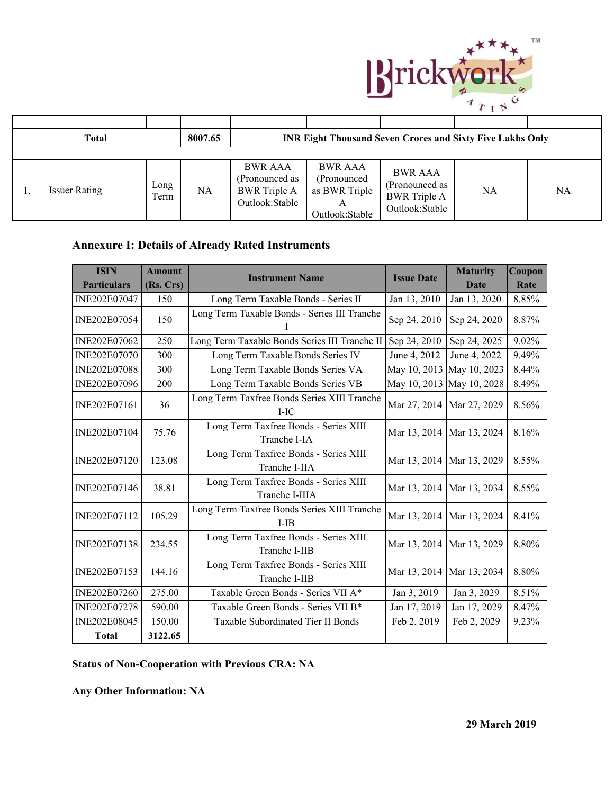

| <b>Total</b>         |              | 8007.65 |                                                                           |                                                                                   | <b>INR Eight Thousand Seven Crores and Sixty Five Lakhs Only</b>          |    |    |
|----------------------|--------------|---------|---------------------------------------------------------------------------|-----------------------------------------------------------------------------------|---------------------------------------------------------------------------|----|----|
|                      |              |         |                                                                           |                                                                                   |                                                                           |    |    |
| <b>Issuer Rating</b> | Long<br>Term | NA      | <b>BWR AAA</b><br>(Pronounced as<br><b>BWR</b> Triple A<br>Outlook:Stable | <b>BWR AAA</b><br>(Pronounced)<br>as BWR Triple<br>$\mathbf{A}$<br>Outlook:Stable | <b>BWR AAA</b><br>(Pronounced as<br><b>BWR</b> Triple A<br>Outlook:Stable | NA | NA |

# **Annexure I: Details of Already Rated Instruments**

| <b>ISIN</b>         | <b>Amount</b> | <b>Instrument Name</b>                                  | <b>Issue Date</b>           | <b>Maturity</b> | Coupon |
|---------------------|---------------|---------------------------------------------------------|-----------------------------|-----------------|--------|
| <b>Particulars</b>  | (Rs. Crs)     |                                                         |                             | Date            | Rate   |
| INE202E07047        | 150           | Long Term Taxable Bonds - Series II                     | Jan 13, 2010                | Jan 13, 2020    | 8.85%  |
| INE202E07054        | 150           | Long Term Taxable Bonds - Series III Tranche            | Sep 24, 2010                | Sep 24, 2020    | 8.87%  |
| INE202E07062        | 250           | Long Term Taxable Bonds Series III Tranche II           | Sep 24, 2010                | Sep 24, 2025    | 9.02%  |
| <b>INE202E07070</b> | 300           | Long Term Taxable Bonds Series IV                       | June 4, 2012                | June 4, 2022    | 9.49%  |
| <b>INE202E07088</b> | 300           | Long Term Taxable Bonds Series VA                       | May 10, 2013                | May 10, 2023    | 8.44%  |
| <b>INE202E07096</b> | 200           | Long Term Taxable Bonds Series VB                       | May 10, 2013                | May 10, 2028    | 8.49%  |
| INE202E07161        | 36            | Long Term Taxfree Bonds Series XIII Tranche<br>$I-IC$   | Mar 27, 2014   Mar 27, 2029 |                 | 8.56%  |
| INE202E07104        | 75.76         | Long Term Taxfree Bonds - Series XIII<br>Tranche I-IA   | Mar 13, 2014   Mar 13, 2024 |                 | 8.16%  |
| INE202E07120        | 123.08        | Long Term Taxfree Bonds - Series XIII<br>Tranche I-IIA  | Mar 13, 2014   Mar 13, 2029 |                 | 8.55%  |
| INE202E07146        | 38.81         | Long Term Taxfree Bonds - Series XIII<br>Tranche I-IIIA | Mar 13, 2014   Mar 13, 2034 |                 | 8.55%  |
| INE202E07112        | 105.29        | Long Term Taxfree Bonds Series XIII Tranche<br>I-IB     | Mar 13, 2014   Mar 13, 2024 |                 | 8.41%  |
| INE202E07138        | 234.55        | Long Term Taxfree Bonds - Series XIII<br>Tranche I-IIB  | Mar 13, 2014                | Mar 13, 2029    | 8.80%  |
| INE202E07153        | 144.16        | Long Term Taxfree Bonds - Series XIII<br>Tranche I-IIB  | Mar 13, 2014                | Mar 13, 2034    | 8.80%  |
| INE202E07260        | 275.00        | Taxable Green Bonds - Series VII A*                     | Jan 3, 2019                 | Jan 3, 2029     | 8.51%  |
| INE202E07278        | 590.00        | Taxable Green Bonds - Series VII B*                     | Jan 17, 2019                | Jan 17, 2029    | 8.47%  |
| INE202E08045        | 150.00        | Taxable Subordinated Tier II Bonds                      | Feb 2, 2019                 | Feb 2, 2029     | 9.23%  |
| <b>Total</b>        | 3122.65       |                                                         |                             |                 |        |

# **Status of Non-Cooperation with Previous CRA: NA**

**Any Other Information: NA**